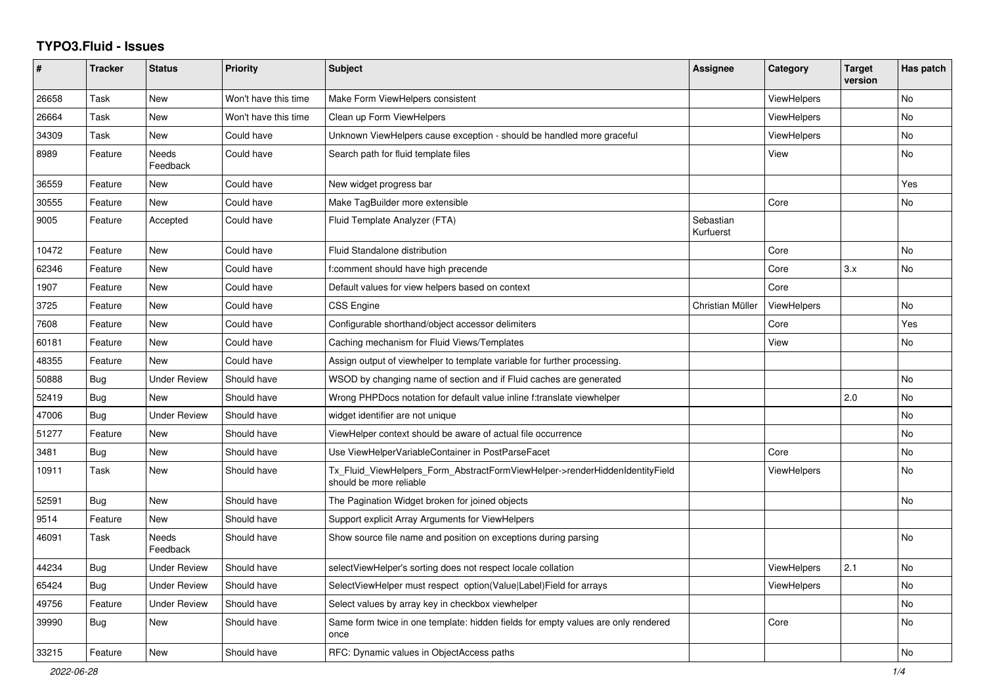## **TYPO3.Fluid - Issues**

| #     | <b>Tracker</b> | <b>Status</b>            | <b>Priority</b>      | <b>Subject</b>                                                                                         | Assignee               | Category           | <b>Target</b><br>version | Has patch |
|-------|----------------|--------------------------|----------------------|--------------------------------------------------------------------------------------------------------|------------------------|--------------------|--------------------------|-----------|
| 26658 | Task           | New                      | Won't have this time | Make Form ViewHelpers consistent                                                                       |                        | ViewHelpers        |                          | <b>No</b> |
| 26664 | Task           | New                      | Won't have this time | Clean up Form ViewHelpers                                                                              |                        | ViewHelpers        |                          | No        |
| 34309 | Task           | New                      | Could have           | Unknown ViewHelpers cause exception - should be handled more graceful                                  |                        | <b>ViewHelpers</b> |                          | No        |
| 8989  | Feature        | Needs<br>Feedback        | Could have           | Search path for fluid template files                                                                   |                        | View               |                          | No        |
| 36559 | Feature        | New                      | Could have           | New widget progress bar                                                                                |                        |                    |                          | Yes       |
| 30555 | Feature        | <b>New</b>               | Could have           | Make TagBuilder more extensible                                                                        |                        | Core               |                          | No        |
| 9005  | Feature        | Accepted                 | Could have           | Fluid Template Analyzer (FTA)                                                                          | Sebastian<br>Kurfuerst |                    |                          |           |
| 10472 | Feature        | New                      | Could have           | Fluid Standalone distribution                                                                          |                        | Core               |                          | No        |
| 62346 | Feature        | New                      | Could have           | f:comment should have high precende                                                                    |                        | Core               | 3.x                      | <b>No</b> |
| 1907  | Feature        | New                      | Could have           | Default values for view helpers based on context                                                       |                        | Core               |                          |           |
| 3725  | Feature        | New                      | Could have           | CSS Engine                                                                                             | Christian Müller       | <b>ViewHelpers</b> |                          | <b>No</b> |
| 7608  | Feature        | <b>New</b>               | Could have           | Configurable shorthand/object accessor delimiters                                                      |                        | Core               |                          | Yes       |
| 60181 | Feature        | New                      | Could have           | Caching mechanism for Fluid Views/Templates                                                            |                        | View               |                          | No        |
| 48355 | Feature        | <b>New</b>               | Could have           | Assign output of viewhelper to template variable for further processing.                               |                        |                    |                          |           |
| 50888 | <b>Bug</b>     | <b>Under Review</b>      | Should have          | WSOD by changing name of section and if Fluid caches are generated                                     |                        |                    |                          | <b>No</b> |
| 52419 | Bug            | <b>New</b>               | Should have          | Wrong PHPDocs notation for default value inline f:translate viewhelper                                 |                        |                    | 2.0                      | <b>No</b> |
| 47006 | Bug            | <b>Under Review</b>      | Should have          | widget identifier are not unique                                                                       |                        |                    |                          | No        |
| 51277 | Feature        | New                      | Should have          | ViewHelper context should be aware of actual file occurrence                                           |                        |                    |                          | No        |
| 3481  | Bug            | New                      | Should have          | Use ViewHelperVariableContainer in PostParseFacet                                                      |                        | Core               |                          | No        |
| 10911 | Task           | <b>New</b>               | Should have          | Tx Fluid ViewHelpers Form AbstractFormViewHelper->renderHiddenIdentityField<br>should be more reliable |                        | <b>ViewHelpers</b> |                          | <b>No</b> |
| 52591 | Bug            | New                      | Should have          | The Pagination Widget broken for joined objects                                                        |                        |                    |                          | No        |
| 9514  | Feature        | <b>New</b>               | Should have          | Support explicit Array Arguments for ViewHelpers                                                       |                        |                    |                          |           |
| 46091 | Task           | <b>Needs</b><br>Feedback | Should have          | Show source file name and position on exceptions during parsing                                        |                        |                    |                          | <b>No</b> |
| 44234 | Bug            | <b>Under Review</b>      | Should have          | selectViewHelper's sorting does not respect locale collation                                           |                        | ViewHelpers        | 2.1                      | <b>No</b> |
| 65424 | <b>Bug</b>     | <b>Under Review</b>      | Should have          | SelectViewHelper must respect option(Value Label)Field for arrays                                      |                        | <b>ViewHelpers</b> |                          | <b>No</b> |
| 49756 | Feature        | Under Review             | Should have          | Select values by array key in checkbox viewhelper                                                      |                        |                    |                          | <b>No</b> |
| 39990 | Bug            | New                      | Should have          | Same form twice in one template: hidden fields for empty values are only rendered<br>once              |                        | Core               |                          | <b>No</b> |
| 33215 | Feature        | New                      | Should have          | RFC: Dynamic values in ObjectAccess paths                                                              |                        |                    |                          | No        |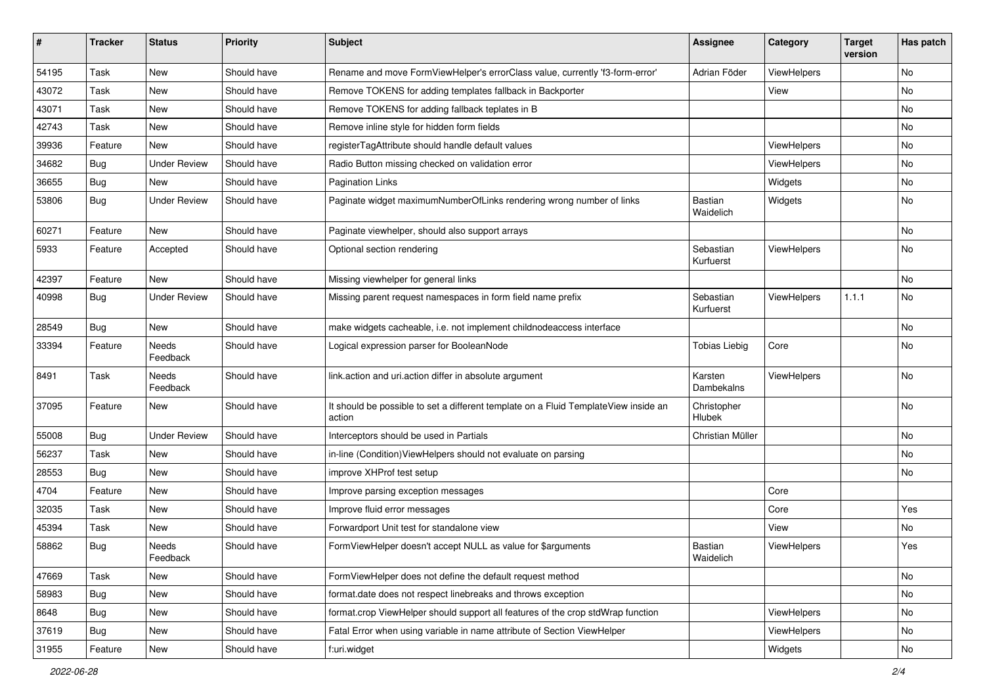| ∦     | <b>Tracker</b> | <b>Status</b>            | <b>Priority</b> | <b>Subject</b>                                                                                | <b>Assignee</b>        | Category    | <b>Target</b><br>version | Has patch |
|-------|----------------|--------------------------|-----------------|-----------------------------------------------------------------------------------------------|------------------------|-------------|--------------------------|-----------|
| 54195 | Task           | New                      | Should have     | Rename and move FormViewHelper's errorClass value, currently 'f3-form-error'                  | Adrian Föder           | ViewHelpers |                          | <b>No</b> |
| 43072 | Task           | New                      | Should have     | Remove TOKENS for adding templates fallback in Backporter                                     |                        | View        |                          | No        |
| 43071 | Task           | New                      | Should have     | Remove TOKENS for adding fallback teplates in B                                               |                        |             |                          | No        |
| 42743 | Task           | New                      | Should have     | Remove inline style for hidden form fields                                                    |                        |             |                          | No        |
| 39936 | Feature        | <b>New</b>               | Should have     | registerTagAttribute should handle default values                                             |                        | ViewHelpers |                          | No        |
| 34682 | Bug            | <b>Under Review</b>      | Should have     | Radio Button missing checked on validation error                                              |                        | ViewHelpers |                          | No        |
| 36655 | Bug            | New                      | Should have     | <b>Pagination Links</b>                                                                       |                        | Widgets     |                          | No        |
| 53806 | <b>Bug</b>     | <b>Under Review</b>      | Should have     | Paginate widget maximumNumberOfLinks rendering wrong number of links                          | Bastian<br>Waidelich   | Widgets     |                          | No        |
| 60271 | Feature        | New                      | Should have     | Paginate viewhelper, should also support arrays                                               |                        |             |                          | No        |
| 5933  | Feature        | Accepted                 | Should have     | Optional section rendering                                                                    | Sebastian<br>Kurfuerst | ViewHelpers |                          | No        |
| 42397 | Feature        | <b>New</b>               | Should have     | Missing viewhelper for general links                                                          |                        |             |                          | No.       |
| 40998 | Bug            | <b>Under Review</b>      | Should have     | Missing parent request namespaces in form field name prefix                                   | Sebastian<br>Kurfuerst | ViewHelpers | 1.1.1                    | No        |
| 28549 | Bug            | New                      | Should have     | make widgets cacheable, i.e. not implement childnodeaccess interface                          |                        |             |                          | No        |
| 33394 | Feature        | <b>Needs</b><br>Feedback | Should have     | Logical expression parser for BooleanNode                                                     | <b>Tobias Liebig</b>   | Core        |                          | No        |
| 8491  | Task           | Needs<br>Feedback        | Should have     | link.action and uri.action differ in absolute argument                                        | Karsten<br>Dambekalns  | ViewHelpers |                          | No        |
| 37095 | Feature        | New                      | Should have     | It should be possible to set a different template on a Fluid TemplateView inside an<br>action | Christopher<br>Hlubek  |             |                          | No        |
| 55008 | Bug            | <b>Under Review</b>      | Should have     | Interceptors should be used in Partials                                                       | Christian Müller       |             |                          | No        |
| 56237 | Task           | New                      | Should have     | in-line (Condition) View Helpers should not evaluate on parsing                               |                        |             |                          | No        |
| 28553 | Bug            | New                      | Should have     | improve XHProf test setup                                                                     |                        |             |                          | No.       |
| 4704  | Feature        | New                      | Should have     | Improve parsing exception messages                                                            |                        | Core        |                          |           |
| 32035 | Task           | New                      | Should have     | Improve fluid error messages                                                                  |                        | Core        |                          | Yes       |
| 45394 | Task           | New                      | Should have     | Forwardport Unit test for standalone view                                                     |                        | View        |                          | No        |
| 58862 | Bug            | <b>Needs</b><br>Feedback | Should have     | FormViewHelper doesn't accept NULL as value for \$arguments                                   | Bastian<br>Waidelich   | ViewHelpers |                          | Yes       |
| 47669 | Task           | New                      | Should have     | FormViewHelper does not define the default request method                                     |                        |             |                          | No        |
| 58983 | Bug            | New                      | Should have     | format.date does not respect linebreaks and throws exception                                  |                        |             |                          | No        |
| 8648  | Bug            | New                      | Should have     | format.crop ViewHelper should support all features of the crop stdWrap function               |                        | ViewHelpers |                          | No        |
| 37619 | <b>Bug</b>     | New                      | Should have     | Fatal Error when using variable in name attribute of Section ViewHelper                       |                        | ViewHelpers |                          | No        |
| 31955 | Feature        | New                      | Should have     | f:uri.widget                                                                                  |                        | Widgets     |                          | No        |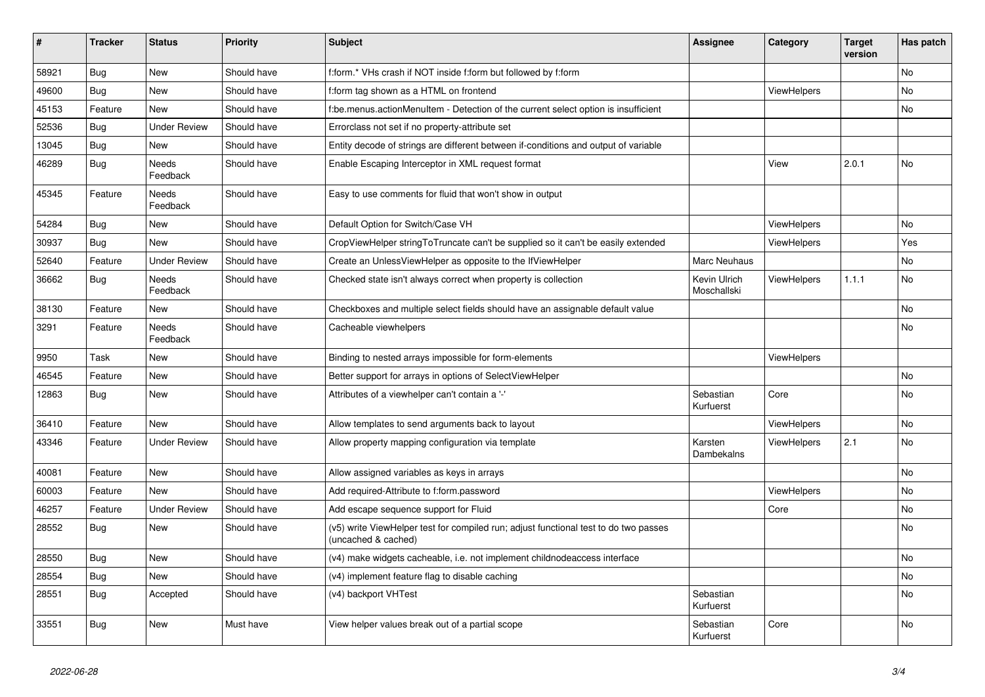| #     | <b>Tracker</b> | <b>Status</b>            | <b>Priority</b> | <b>Subject</b>                                                                                              | Assignee                    | Category           | <b>Target</b><br>version | Has patch |
|-------|----------------|--------------------------|-----------------|-------------------------------------------------------------------------------------------------------------|-----------------------------|--------------------|--------------------------|-----------|
| 58921 | Bug            | <b>New</b>               | Should have     | f:form.* VHs crash if NOT inside f:form but followed by f:form                                              |                             |                    |                          | No.       |
| 49600 | <b>Bug</b>     | <b>New</b>               | Should have     | f:form tag shown as a HTML on frontend                                                                      |                             | <b>ViewHelpers</b> |                          | No        |
| 45153 | Feature        | <b>New</b>               | Should have     | f:be.menus.actionMenuItem - Detection of the current select option is insufficient                          |                             |                    |                          | No        |
| 52536 | Bug            | <b>Under Review</b>      | Should have     | Errorclass not set if no property-attribute set                                                             |                             |                    |                          |           |
| 13045 | Bug            | New                      | Should have     | Entity decode of strings are different between if-conditions and output of variable                         |                             |                    |                          |           |
| 46289 | <b>Bug</b>     | <b>Needs</b><br>Feedback | Should have     | Enable Escaping Interceptor in XML request format                                                           |                             | View               | 2.0.1                    | No        |
| 45345 | Feature        | <b>Needs</b><br>Feedback | Should have     | Easy to use comments for fluid that won't show in output                                                    |                             |                    |                          |           |
| 54284 | <b>Bug</b>     | New                      | Should have     | Default Option for Switch/Case VH                                                                           |                             | <b>ViewHelpers</b> |                          | No        |
| 30937 | <b>Bug</b>     | <b>New</b>               | Should have     | CropViewHelper stringToTruncate can't be supplied so it can't be easily extended                            |                             | <b>ViewHelpers</b> |                          | Yes       |
| 52640 | Feature        | <b>Under Review</b>      | Should have     | Create an UnlessViewHelper as opposite to the IfViewHelper                                                  | Marc Neuhaus                |                    |                          | No        |
| 36662 | Bug            | Needs<br>Feedback        | Should have     | Checked state isn't always correct when property is collection                                              | Kevin Ulrich<br>Moschallski | <b>ViewHelpers</b> | 1.1.1                    | No        |
| 38130 | Feature        | <b>New</b>               | Should have     | Checkboxes and multiple select fields should have an assignable default value                               |                             |                    |                          | No.       |
| 3291  | Feature        | Needs<br>Feedback        | Should have     | Cacheable viewhelpers                                                                                       |                             |                    |                          | No        |
| 9950  | Task           | <b>New</b>               | Should have     | Binding to nested arrays impossible for form-elements                                                       |                             | ViewHelpers        |                          |           |
| 46545 | Feature        | <b>New</b>               | Should have     | Better support for arrays in options of SelectViewHelper                                                    |                             |                    |                          | No        |
| 12863 | <b>Bug</b>     | <b>New</b>               | Should have     | Attributes of a viewhelper can't contain a '-'                                                              | Sebastian<br>Kurfuerst      | Core               |                          | <b>No</b> |
| 36410 | Feature        | <b>New</b>               | Should have     | Allow templates to send arguments back to layout                                                            |                             | ViewHelpers        |                          | No        |
| 43346 | Feature        | <b>Under Review</b>      | Should have     | Allow property mapping configuration via template                                                           | Karsten<br>Dambekalns       | ViewHelpers        | 2.1                      | <b>No</b> |
| 40081 | Feature        | New                      | Should have     | Allow assigned variables as keys in arrays                                                                  |                             |                    |                          | No        |
| 60003 | Feature        | New                      | Should have     | Add required-Attribute to f:form.password                                                                   |                             | <b>ViewHelpers</b> |                          | No        |
| 46257 | Feature        | <b>Under Review</b>      | Should have     | Add escape sequence support for Fluid                                                                       |                             | Core               |                          | No        |
| 28552 | <b>Bug</b>     | New                      | Should have     | (v5) write ViewHelper test for compiled run; adjust functional test to do two passes<br>(uncached & cached) |                             |                    |                          | No        |
| 28550 | Bug            | New                      | Should have     | (v4) make widgets cacheable, i.e. not implement childnodeaccess interface                                   |                             |                    |                          | No        |
| 28554 | <b>Bug</b>     | New                      | Should have     | (v4) implement feature flag to disable caching                                                              |                             |                    |                          | No        |
| 28551 | Bug            | Accepted                 | Should have     | (v4) backport VHTest                                                                                        | Sebastian<br>Kurfuerst      |                    |                          | No        |
| 33551 | Bug            | <b>New</b>               | Must have       | View helper values break out of a partial scope                                                             | Sebastian<br>Kurfuerst      | Core               |                          | No        |